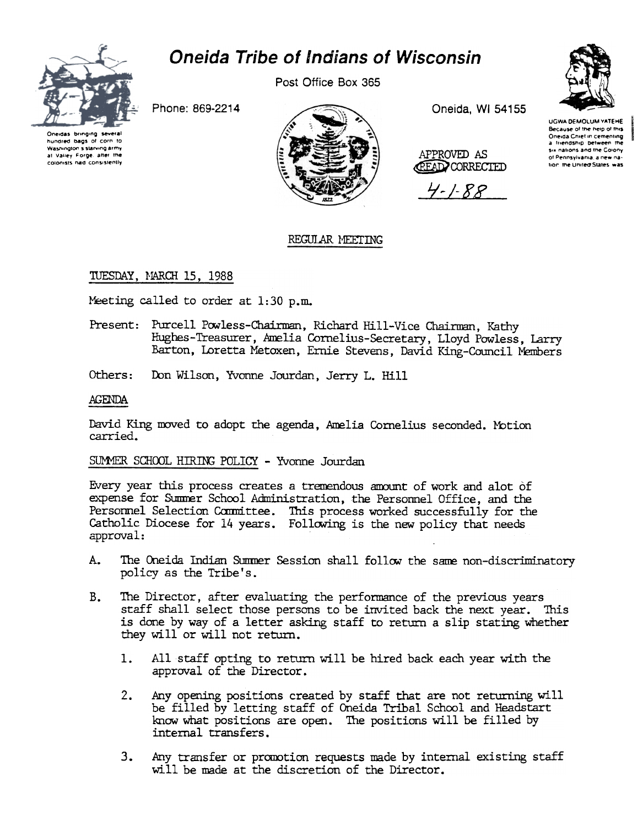

# **Oneida Tribe of Indians of Wisconsin**

Post Office Box 365



Phone: 869-2214

Oneidas brinding several hundred bags of corn to Washington's starving army at Valley Forge, after the colonists had consistently



Oneida, WI 54155

APPROVED AS **CEAD CORRECTED** 

 $4 - 1 - 88$ 



# REGULAR MEETING

## TUESDAY, MARCH 15, 1988

Meeting called to order at 1:30 p.m.

- Present: Purcell Powless-Chairman, Richard Hill-Vice Chairman, Kathy Hughes-Treasurer, Amelia Cornelius-Secretary, Lloyd Powless, Larry Barton, Loretta Metoxen, Ernie Stevens, David King-Council Members
- Others: Don Wilson, Yvonne Jourdan, Jerry L. Hill

### **AGENDA**

David King moved to adopt the agenda, Amelia Cornelius seconded. Motion carried.

## SUMMER SCHOOL HIRING POLICY - Yvonne Jourdan

Every year this process creates a tremendous amount of work and alot of expense for Summer School Administration, the Personnel Office, and the Personnel Selection Committee. This process worked successfully for the Catholic Diocese for 14 years. Following is the new policy that needs approval:

- The Oneida Indian Summer Session shall follow the same non-discriminatory A. policy as the Tribe's.
- $B_{-}$ The Director, after evaluating the performance of the previous years staff shall select those persons to be invited back the next year. This is done by way of a letter asking staff to return a slip stating whether they will or will not return.
	- 1. All staff opting to return will be hired back each year with the approval of the Director.
	- Any opening positions created by staff that are not returning will  $2.$ be filled by letting staff of Oneida Tribal School and Headstart know what positions are open. The positions will be filled by internal transfers.
	- $3.$ Any transfer or promotion requests made by internal existing staff will be made at the discretion of the Director.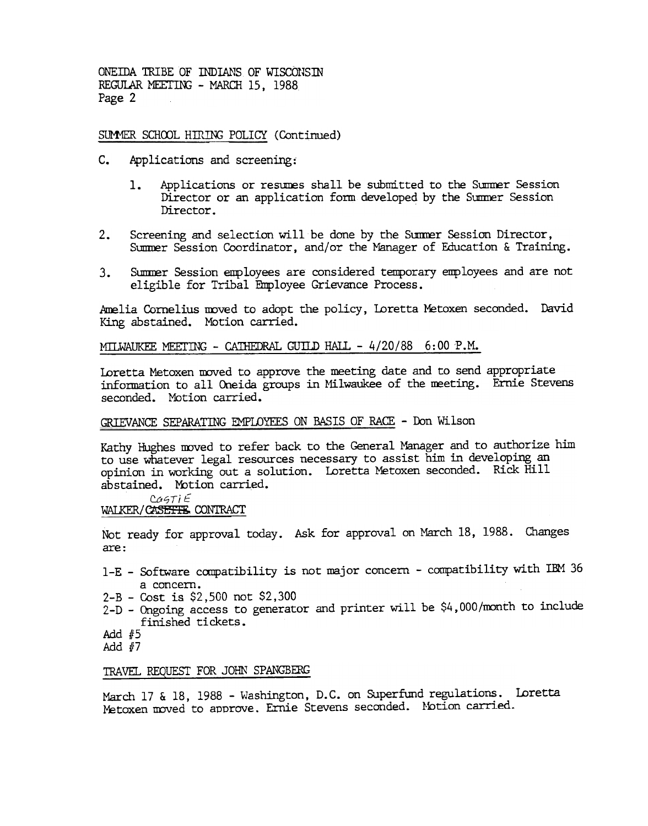ONEIDA TRIBE OF INDIANS OF WISCONSIN REGULAR MEETING - MARCH 15. 1988 Page 2

SUMMER SCHOOL HIRING POLICY (Continued)

- c. Applications and screening:
	- 1. Applications or resumes shall be submitted to the Summer Session Director or an application form developed by the Summer Session Director.
- $2.$ Screening and selection will be done by the Summer Session Director, Summer Session Coordinator, and/or the Manager of Education & Training.
- eligible for Tribal Employee Grievance Process.

Amelia Cornelius moved to adopt the policy, Loretta Metoxen seconded. David King abstained. MOtion carried.

MILWAUKEE MEETING - CATHEDRAL GUILD HALL - 4/20/88 6:00 P.M.

Loretta Metoxen moved to approve the meeting date and to send appropriate information to all Oneida groups in Milwaukee of the meeting. Ernie Stevens seconded. Motion carried.

# GRIEVANCE SEPARATING EMPLOYEES ON BASIS OF RACE - Don Wilson

3. Sammer Session employees are considered temporary employees and are not elastic Cornelist Proporation employees and are not the session employee Crievance Process.<br>
Ming abstational, Weicher Carried, The Carried Ming a Kathy Hughes moved to refer back to the General Manager and to authorize him to use whatever legal resources necessary to assist him in developing an opinion in working out a solution. Loretta Metoxen seconded. Rick Hill abstained. Motion carried.

 $CAGTIE$ WALKER/CASETTE CONTRACT

Not ready for approval today. Ask for approval on March 18, 1988. Changes are:

- 1-E Software compatibility is not major concern compatibility with IBM 36 a concern.
- 2-B Cost is \$2,500 not \$2,300
- 2-D Ongoing access to generator and printer will be \$4,000/month to include finished ti ckets .
- Add  $#5$
- Add #7

#### TRAVEL REQUEST FOR JOHN SPANGBERG

March 17 & 18, 1988 - Washington, D.C. on Superfund regulations. Loretta Metoxen moved to approve. Ernie Stevens seconded. Motion carried.